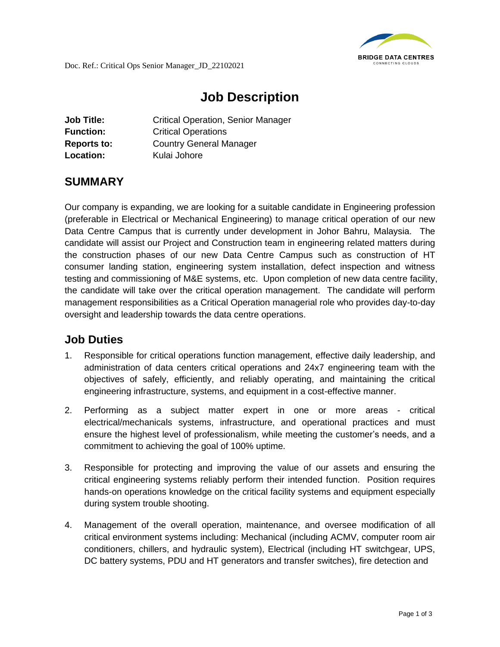

## **Job Description**

| <b>Job Title:</b>  | <b>Critical Operation, Senior Manager</b> |
|--------------------|-------------------------------------------|
| <b>Function:</b>   | <b>Critical Operations</b>                |
| <b>Reports to:</b> | <b>Country General Manager</b>            |
| Location:          | Kulai Johore                              |

## **SUMMARY**

Our company is expanding, we are looking for a suitable candidate in Engineering profession (preferable in Electrical or Mechanical Engineering) to manage critical operation of our new Data Centre Campus that is currently under development in Johor Bahru, Malaysia. The candidate will assist our Project and Construction team in engineering related matters during the construction phases of our new Data Centre Campus such as construction of HT consumer landing station, engineering system installation, defect inspection and witness testing and commissioning of M&E systems, etc. Upon completion of new data centre facility, the candidate will take over the critical operation management. The candidate will perform management responsibilities as a Critical Operation managerial role who provides day-to-day oversight and leadership towards the data centre operations.

## **Job Duties**

- 1. Responsible for critical operations function management, effective daily leadership, and administration of data centers critical operations and 24x7 engineering team with the objectives of safely, efficiently, and reliably operating, and maintaining the critical engineering infrastructure, systems, and equipment in a cost-effective manner.
- 2. Performing as a subject matter expert in one or more areas critical electrical/mechanicals systems, infrastructure, and operational practices and must ensure the highest level of professionalism, while meeting the customer's needs, and a commitment to achieving the goal of 100% uptime.
- 3. Responsible for protecting and improving the value of our assets and ensuring the critical engineering systems reliably perform their intended function. Position requires hands-on operations knowledge on the critical facility systems and equipment especially during system trouble shooting.
- 4. Management of the overall operation, maintenance, and oversee modification of all critical environment systems including: Mechanical (including ACMV, computer room air conditioners, chillers, and hydraulic system), Electrical (including HT switchgear, UPS, DC battery systems, PDU and HT generators and transfer switches), fire detection and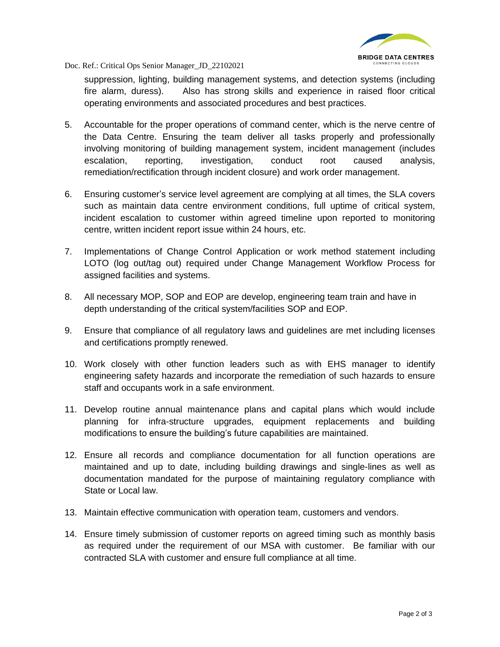

Doc. Ref.: Critical Ops Senior Manager\_JD\_22102021

suppression, lighting, building management systems, and detection systems (including fire alarm, duress). Also has strong skills and experience in raised floor critical operating environments and associated procedures and best practices.

- 5. Accountable for the proper operations of command center, which is the nerve centre of the Data Centre. Ensuring the team deliver all tasks properly and professionally involving monitoring of building management system, incident management (includes escalation, reporting, investigation, conduct root caused analysis, remediation/rectification through incident closure) and work order management.
- 6. Ensuring customer's service level agreement are complying at all times, the SLA covers such as maintain data centre environment conditions, full uptime of critical system, incident escalation to customer within agreed timeline upon reported to monitoring centre, written incident report issue within 24 hours, etc.
- 7. Implementations of Change Control Application or work method statement including LOTO (log out/tag out) required under Change Management Workflow Process for assigned facilities and systems.
- 8. All necessary MOP, SOP and EOP are develop, engineering team train and have in depth understanding of the critical system/facilities SOP and EOP.
- 9. Ensure that compliance of all regulatory laws and guidelines are met including licenses and certifications promptly renewed.
- 10. Work closely with other function leaders such as with EHS manager to identify engineering safety hazards and incorporate the remediation of such hazards to ensure staff and occupants work in a safe environment.
- 11. Develop routine annual maintenance plans and capital plans which would include planning for infra-structure upgrades, equipment replacements and building modifications to ensure the building's future capabilities are maintained.
- 12. Ensure all records and compliance documentation for all function operations are maintained and up to date, including building drawings and single-lines as well as documentation mandated for the purpose of maintaining regulatory compliance with State or Local law.
- 13. Maintain effective communication with operation team, customers and vendors.
- 14. Ensure timely submission of customer reports on agreed timing such as monthly basis as required under the requirement of our MSA with customer. Be familiar with our contracted SLA with customer and ensure full compliance at all time.